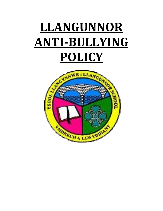# **LLANGUNNOR ANTI-BULLYING POLICY**

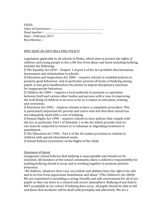YSGOL Chair of Governors :- ……………………………………………………… Head teacher :- …………………………………………………………….. Date :- February 2017 Next Review :-

#### WHY HAVE AN ANTI-BULLYING POLICY?

Legislation applicable to all schools in Wales, which aims to protect the rights of children and young people to live a life free from abuse and harm including bullying, includes the following:

The Equality Act 2010 – Chapter 1 of part 6 of the Act prohibits discrimination, harassment and victimisation in schools.

Education and Inspections Act 2006 – requires schools to establish policies to promote good behaviour, and in particular, prevent all forms of bullying among pupils. It also gives headteachers the power to impose disciplinary sanctions for inappropriate behaviour.

Children Act 2004 – requires a local authority to promote co-operation between itself and various other bodies and persons with a view to improving the well-being of children in its area so far as it relates to education, training and recreation.

Education Act 2002 – requires schools to have a complaints procedure. This is particularly important for parents and carers who feel that their school has not adequately dealt with a case of bullying.

Human Rights Act 1998 – requires schools to have policies that comply with the Act, in particular, Part 1 of Schedule 1 to the Act which provides that no one must be subjected to torture or to inhuman or degrading treatment or punishment.

The Education Act 1996 – Part 4 of the Act makes provision in relation to children with special educational needs.

United Nations Convention on the Rights of the Child.

#### Statement of Intent

Llangunnor school believes that bullying is unacceptable and should not be tolerated. All members of the school community share a collective responsibility for tackling bullying should it occur and in working together to promote positive behaviour.

"All children, whatever their race, sex, beliefs and abilities have the right to be safe and to be free from oppression, humiliation and abuse" (The Children's Act 2004). We are committed to providing a caring, friendly and safe environment for all of our pupils so they can learn in a relaxed and secure atmosphere. Bullying of any kind is NOT acceptable at our school. If bullying does occur, all pupils should be able to tell and know that incidents will be dealt with promptly and effectively. We are a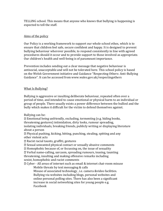TELLING school. This means that anyone who knows that bullying is happening is expected to tell the staff.

## Aims of the policy

Our Policy is a working framework to support our whole school ethos, which is to ensure that children feel safe, secure confident and happy. It is designed to prevent bullying behaviour wherever possible, to respond consistently in line with agreed procedures should it occur and to provide support to those involved as appropriate. Our children's health and well-being is of paramount importance.

Prevention includes sending out a clear message that negative behaviour is antisocial, unacceptable and will not be tolerated here. This school policy is based on the Welsh Government initiative and Guidance "Respecting Others: Anti-Bullying Guidance". It can be accessed from www.wales.gov.uk/respectingothers

## What Is Bullying?

Bullying is aggressive or insulting deliberate behaviour, repeated often over a period of time, and intended to cause emotional or physical harm to an individual or group of people. There usually exists a power difference between the bullied and the bully which makes it difficult for the victim to defend themselves against.

Bullying can be:

Emotional being unfriendly, excluding, tormenting (e.g. hiding books, threatening gestures) intimidation, dirty looks, rumour spreading, isolating individuals, breaking friends, publicly writing or displaying literature about a person

Physical pushing, kicking, hitting, punching, stealing, spitting and any other violent acts

Racist racial taunts, graffiti, gestures

Sexual unwanted physical contact or sexually abusive comments

Homophobic because of, or focussing on, the issue of sexuality

Verbal name-calling, sarcasm, spreading rumours, teasing, taunting threatening, insulting and making offensive remarks including sexist, homophobic and racist comments

Cyber - All areas of internet such as email & internet chat-room misuse

Mobile threats by text messaging & calls

Misuse of associated technology , i.e. camera &video facilities. Bullying via websites including blogs, personal websites and online personal polling sites. There has also been a significant increase in social networking sites for young people e.g. Facebook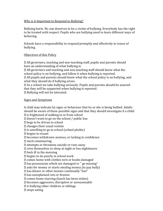## Why is it Important to Respond to Bullying?

Bullying hurts. No one deserves to be a victim of bullying. Everybody has the right to be treated with respect. Pupils who are bullying need to learn different ways of behaving.

Schools have a responsibility to respond promptly and effectively to issues of bullying.

## Objectives of this Policy

All governors, teaching and non-teaching staff, pupils and parents should have an understanding of what bullying is.

All governors and teaching and non-teaching staff should know what the school policy is on bullying, and follow it when bullying is reported.

All pupils and parents should know what the school policy is on bullying, and what they should do if bullying arises.

As a school we take bullying seriously. Pupils and parents should be assured that they will be supported when bullying is reported.

Bullying will not be tolerated.

## Signs and Symptoms

A child may indicate by signs or behaviour that he or she is being bullied. Adults should be aware of these possible signs and that they should investigate if a child:  $\mathbb{Z}$  is frightened of walking to or from school

 $\mathbb Z$  doesn't want to go on the school / public bus

begs to be driven to school

changes their usual routine

 $\mathbb D$  is unwilling to go to school (school phobic)

begins to truant

becomes withdrawn anxious, or lacking in confidence

starts stammering

attempts or threatens suicide or runs away

 $\mathbb Z$  cries themselves to sleep at night or has nightmares

feels ill in the morning

begins to do poorly in school work

comes home with clothes torn or books damaged

has possessions which are damaged or " go missing"

asks for money or starts stealing money (to pay bully)

has dinner or other monies continually "lost"

has unexplained cuts or bruises

comes home starving (lunch has been stolen)

becomes aggressive, disruptive or unreasonable

 $\mathbb{Z}$  is bullying other children or siblings

 $2$  stops eating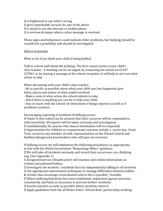$\mathbb{Z}$  is frightened to say what's wrong

gives improbable excuses for any of the above

- $\mathbb D$  is afraid to use the internet or mobile phone
- $\mathbb Z$  is nervous & jumpy when a cyber message is received

These signs and behaviours could indicate other problems, but bullying should be considered a possibility and should be investigated.

Advice to parents.

What to do if you think your child is being bullied.

Talk to school staff about the bullying. The first contact point is your child's class teacher. A meeting can be arranged, by contacting the school on 01267 237841 or by leaving a message at the school reception. It will help to sort out what action to take.

When discussing with your child's class teacher,

- Be as specific as possible about what your child says has happened; give dates, places and names of other pupils involved.

- Make a note of what action the school intends to take.

- Ask if there is anything you can do to help your child.

- Stay in touch with the school; let them know if things improve as well as if problems continue.

Encouraging reporting of incidents if bullying occurs:

Pupils in this school can be assured that their concerns will be responded to with sensitivity. All reports will be taken seriously and investigated; Confidentiality for anyone who shares information will be respected; Opportunities for children to communicate concerns include a worry box, Circle Time, access to any member of staff, representation on the School Council and buddies/playground peacemakers who will pass on concerns;

If bullying occurs we will implement the following procedures, as appropriate, in line with the Welsh Government "Respecting Others" guidance:

We will take all incidents seriously and record their occurrence on a Bullying Log. (See Appendix 1)

A designated person (Headteacher) will monitor and collate information on victims and potential bullies.

Investigate the incident / establish facts by independently talking to all involved; Use appropriate intervention techniques to manage difficulties between bullies

& victims that encourage reconciliation where this is possible / feasible;

Where bullying behaviour has been established, implement agreed sanctions consistently and fairly as necessary to prevent further incidents;

 $\mathbb D$  Involve parents as early as possible where incidents merit it;

Apply guidelines from the all Wales Police "School Beat" partnership working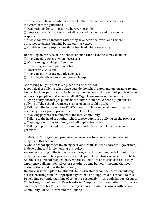document to determine whether official police involvement is needed; as indicated in these guidelines,

Deal with incidents internally wherever possible;

Keep accurate, factual records of all reported incidents and the school's response.

Always follow-up incidents after they have been dealt with and review outcomes to ensure bullying behaviour has ceased;

Provide on-going support for those involved where necessary;

Depending on the type of incident, if sanctions are used, these may include:

Involving parents as / when necessary;

Withdrawing privileges/free time

Preventing access to parts of school;

Short term exclusion;

Involving appropriate outside agencies;

Including details on notes kept on each pupil.

Addressing bullying that takes place outside of school.

A good deal of bullying takes place outside the school gates, and on journeys to and from school. Perpetrators of the bullying may be pupils of the school, pupils of other schools, or people not at school at all. At Ysgol Llangynnwr our school's antibullying policy encourages pupils not to suffer in silence. Where a pupil tells of bullying off the school premises, a range of steps could be taken:

Talking to the local police or PCSO's about problems on local streets or park (if necessary seek a police presence at trouble spots) .

Involving parents or members of the local community

Talking to the head of another school whose pupils are bullying off the premises

Mapping safe routes to school, and tell pupils about them

Talking to pupils about how to avoid or handle bullying outside the school premises

SUMMARY: Strategies and preventative measures to reduce the likelihood of bullying in this school :

A whole-school approach involving everyone (staff, students, parents & governors) in developing and implementing this policy;

Awareness raising of the issues, procedures, sanctions and method of monitoring bullying, eg. assemblies, pastoral work, PSE, parents meetings, newsletter, website; An ethos of personal responsibility where students are encouraged to tell if they experience bullying themselves or see others being bullied – knowing that not taking action condones the behaviour;

Having a system in place for students to inform staff in confidence when bullying occurs; ensuring staff are appropriately trained and supported to respond to this. Developing our understanding of collective responsibility through Support Groups, Circle Time, School Council, Peer Mentoring/ Support, drama activities, appropriate curricular work (eg PSE and our Healthy Schools initiative; sessions with School Community Police Officers and the Police);